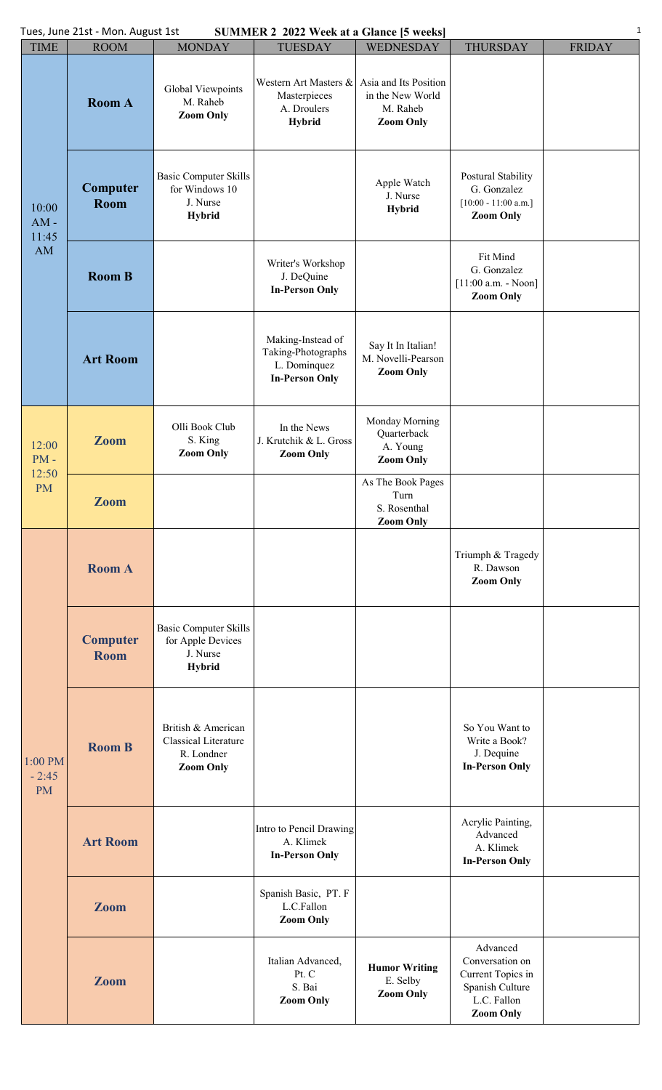| <b>SUMMER 2 2022 Week at a Glance [5 weeks]</b><br>Tues, June 21st - Mon. August 1st |                                |                                                                                |                                                                                  |                                                                           |                                                                                                        |               |  |  |  |
|--------------------------------------------------------------------------------------|--------------------------------|--------------------------------------------------------------------------------|----------------------------------------------------------------------------------|---------------------------------------------------------------------------|--------------------------------------------------------------------------------------------------------|---------------|--|--|--|
| <b>TIME</b>                                                                          | <b>ROOM</b>                    | <b>MONDAY</b>                                                                  | <b>TUESDAY</b>                                                                   | <b>WEDNESDAY</b>                                                          | <b>THURSDAY</b>                                                                                        | <b>FRIDAY</b> |  |  |  |
| 10:00<br>$AM -$<br>11:45<br>AM                                                       | <b>Room A</b>                  | Global Viewpoints<br>M. Raheb<br><b>Zoom Only</b>                              | Western Art Masters &<br>Masterpieces<br>A. Droulers<br><b>Hybrid</b>            | Asia and Its Position<br>in the New World<br>M. Raheb<br><b>Zoom Only</b> |                                                                                                        |               |  |  |  |
|                                                                                      | Computer<br>Room               | <b>Basic Computer Skills</b><br>for Windows 10<br>J. Nurse<br><b>Hybrid</b>    |                                                                                  | Apple Watch<br>J. Nurse<br><b>Hybrid</b>                                  | Postural Stability<br>G. Gonzalez<br>$[10:00 - 11:00$ a.m.]<br><b>Zoom Only</b>                        |               |  |  |  |
|                                                                                      | <b>Room B</b>                  |                                                                                | Writer's Workshop<br>J. DeQuine<br><b>In-Person Only</b>                         |                                                                           | Fit Mind<br>G. Gonzalez<br>$[11:00 a.m. - Noon]$<br><b>Zoom Only</b>                                   |               |  |  |  |
|                                                                                      | <b>Art Room</b>                |                                                                                | Making-Instead of<br>Taking-Photographs<br>L. Dominquez<br><b>In-Person Only</b> | Say It In Italian!<br>M. Novelli-Pearson<br><b>Zoom Only</b>              |                                                                                                        |               |  |  |  |
| 12:00<br>$PM -$<br>12:50<br><b>PM</b>                                                | <b>Zoom</b>                    | Olli Book Club<br>S. King<br><b>Zoom Only</b>                                  | In the News<br>J. Krutchik & L. Gross<br><b>Zoom Only</b>                        | Monday Morning<br>Quarterback<br>A. Young<br><b>Zoom Only</b>             |                                                                                                        |               |  |  |  |
|                                                                                      | <b>Zoom</b>                    |                                                                                |                                                                                  | As The Book Pages<br>Turn<br>S. Rosenthal<br><b>Zoom Only</b>             |                                                                                                        |               |  |  |  |
| 1:00 PM<br>$-2:45$<br><b>PM</b>                                                      | <b>Room A</b>                  |                                                                                |                                                                                  |                                                                           | Triumph & Tragedy<br>R. Dawson<br><b>Zoom Only</b>                                                     |               |  |  |  |
|                                                                                      | <b>Computer</b><br><b>Room</b> | <b>Basic Computer Skills</b><br>for Apple Devices<br>J. Nurse<br><b>Hybrid</b> |                                                                                  |                                                                           |                                                                                                        |               |  |  |  |
|                                                                                      | <b>Room B</b>                  | British & American<br>Classical Literature<br>R. Londner<br><b>Zoom Only</b>   |                                                                                  |                                                                           | So You Want to<br>Write a Book?<br>J. Dequine<br><b>In-Person Only</b>                                 |               |  |  |  |
|                                                                                      | <b>Art Room</b>                |                                                                                | Intro to Pencil Drawing<br>A. Klimek<br><b>In-Person Only</b>                    |                                                                           | Acrylic Painting,<br>Advanced<br>A. Klimek<br><b>In-Person Only</b>                                    |               |  |  |  |
|                                                                                      | <b>Zoom</b>                    |                                                                                | Spanish Basic, PT. F<br>L.C.Fallon<br><b>Zoom Only</b>                           |                                                                           |                                                                                                        |               |  |  |  |
|                                                                                      | <b>Zoom</b>                    |                                                                                | Italian Advanced,<br>Pt. C<br>S. Bai<br><b>Zoom Only</b>                         | <b>Humor Writing</b><br>E. Selby<br><b>Zoom Only</b>                      | Advanced<br>Conversation on<br>Current Topics in<br>Spanish Culture<br>L.C. Fallon<br><b>Zoom Only</b> |               |  |  |  |